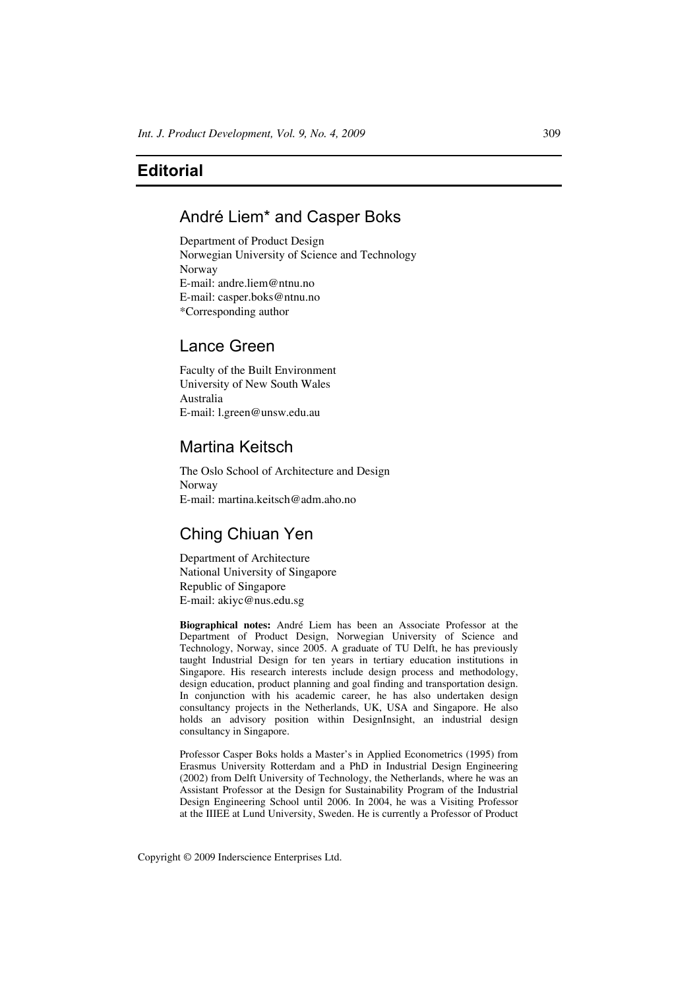# **Editorial**

## André Liem\* and Casper Boks

Department of Product Design Norwegian University of Science and Technology Norway E-mail: andre.liem@ntnu.no E-mail: casper.boks@ntnu.no \*Corresponding author

### Lance Green

Faculty of the Built Environment University of New South Wales Australia E-mail: l.green@unsw.edu.au

### Martina Keitsch

The Oslo School of Architecture and Design Norway E-mail: martina.keitsch@adm.aho.no

# Ching Chiuan Yen

Department of Architecture National University of Singapore Republic of Singapore E-mail: akiyc@nus.edu.sg

**Biographical notes:** André Liem has been an Associate Professor at the Department of Product Design, Norwegian University of Science and Technology, Norway, since 2005. A graduate of TU Delft, he has previously taught Industrial Design for ten years in tertiary education institutions in Singapore. His research interests include design process and methodology, design education, product planning and goal finding and transportation design. In conjunction with his academic career, he has also undertaken design consultancy projects in the Netherlands, UK, USA and Singapore. He also holds an advisory position within DesignInsight, an industrial design consultancy in Singapore.

Professor Casper Boks holds a Master's in Applied Econometrics (1995) from Erasmus University Rotterdam and a PhD in Industrial Design Engineering (2002) from Delft University of Technology, the Netherlands, where he was an Assistant Professor at the Design for Sustainability Program of the Industrial Design Engineering School until 2006. In 2004, he was a Visiting Professor at the IIIEE at Lund University, Sweden. He is currently a Professor of Product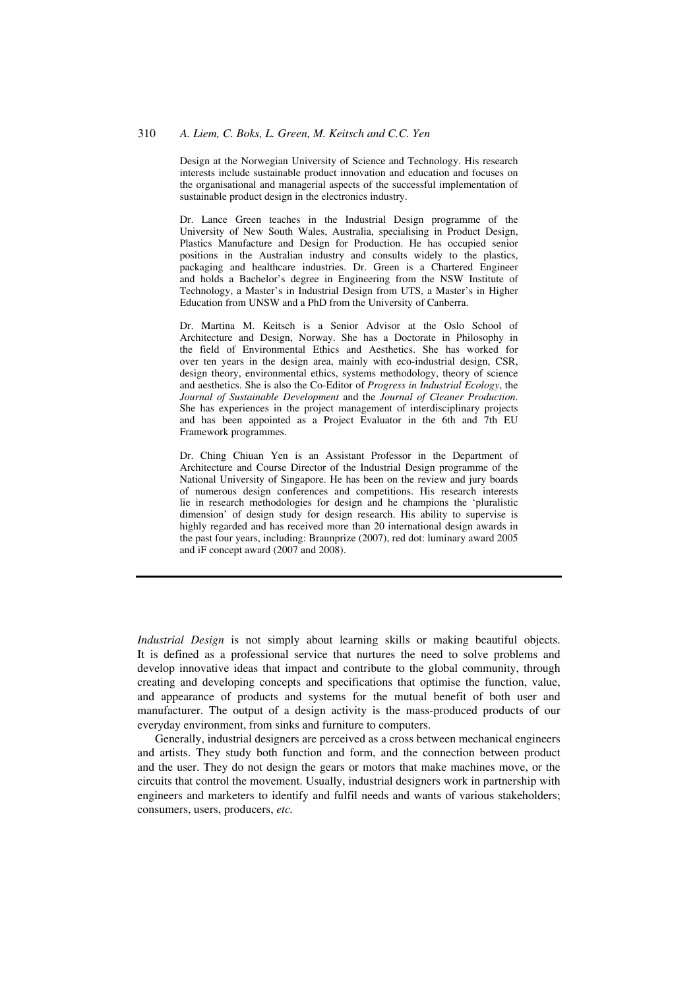#### 310 *A. Liem, C. Boks, L. Green, M. Keitsch and C.C. Yen*

Design at the Norwegian University of Science and Technology. His research interests include sustainable product innovation and education and focuses on the organisational and managerial aspects of the successful implementation of sustainable product design in the electronics industry.

Dr. Lance Green teaches in the Industrial Design programme of the University of New South Wales, Australia, specialising in Product Design, Plastics Manufacture and Design for Production. He has occupied senior positions in the Australian industry and consults widely to the plastics, packaging and healthcare industries. Dr. Green is a Chartered Engineer and holds a Bachelor's degree in Engineering from the NSW Institute of Technology, a Master's in Industrial Design from UTS, a Master's in Higher Education from UNSW and a PhD from the University of Canberra.

Dr. Martina M. Keitsch is a Senior Advisor at the Oslo School of Architecture and Design, Norway. She has a Doctorate in Philosophy in the field of Environmental Ethics and Aesthetics. She has worked for over ten years in the design area, mainly with eco-industrial design, CSR, design theory, environmental ethics, systems methodology, theory of science and aesthetics. She is also the Co-Editor of *Progress in Industrial Ecology*, the *Journal of Sustainable Development* and the *Journal of Cleaner Production*. She has experiences in the project management of interdisciplinary projects and has been appointed as a Project Evaluator in the 6th and 7th EU Framework programmes.

Dr. Ching Chiuan Yen is an Assistant Professor in the Department of Architecture and Course Director of the Industrial Design programme of the National University of Singapore. He has been on the review and jury boards of numerous design conferences and competitions. His research interests lie in research methodologies for design and he champions the 'pluralistic dimension' of design study for design research. His ability to supervise is highly regarded and has received more than 20 international design awards in the past four years, including: Braunprize (2007), red dot: luminary award 2005 and iF concept award (2007 and 2008).

*Industrial Design* is not simply about learning skills or making beautiful objects. It is defined as a professional service that nurtures the need to solve problems and develop innovative ideas that impact and contribute to the global community, through creating and developing concepts and specifications that optimise the function, value, and appearance of products and systems for the mutual benefit of both user and manufacturer. The output of a design activity is the mass-produced products of our everyday environment, from sinks and furniture to computers.

Generally, industrial designers are perceived as a cross between mechanical engineers and artists. They study both function and form, and the connection between product and the user. They do not design the gears or motors that make machines move, or the circuits that control the movement. Usually, industrial designers work in partnership with engineers and marketers to identify and fulfil needs and wants of various stakeholders; consumers, users, producers, *etc.*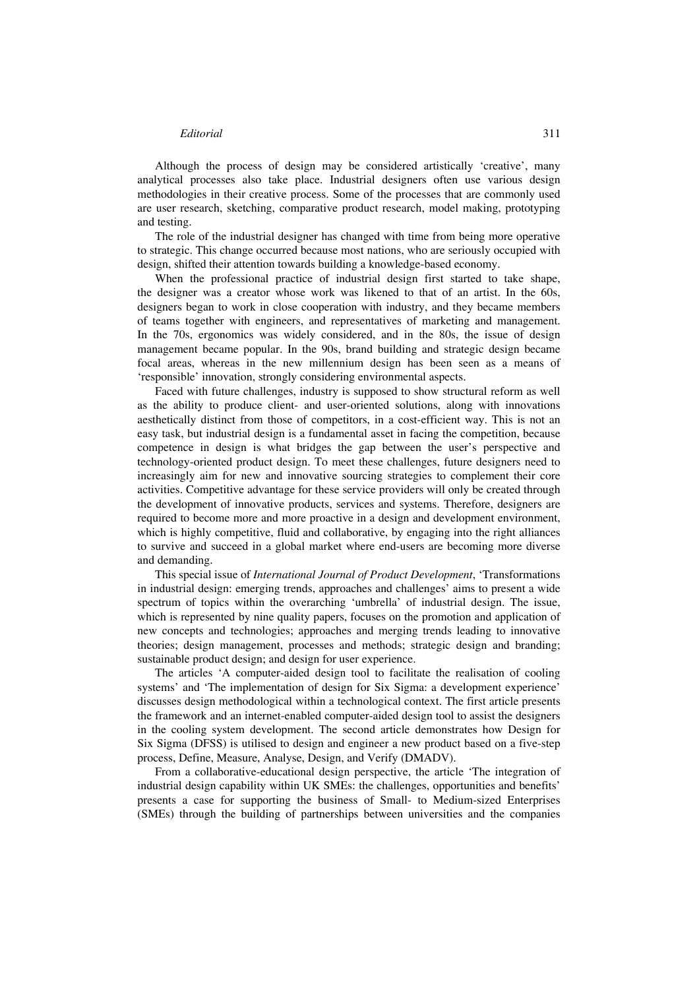#### *Editorial* 311

Although the process of design may be considered artistically 'creative', many analytical processes also take place. Industrial designers often use various design methodologies in their creative process. Some of the processes that are commonly used are user research, sketching, comparative product research, model making, prototyping and testing.

The role of the industrial designer has changed with time from being more operative to strategic. This change occurred because most nations, who are seriously occupied with design, shifted their attention towards building a knowledge-based economy.

When the professional practice of industrial design first started to take shape, the designer was a creator whose work was likened to that of an artist. In the 60s, designers began to work in close cooperation with industry, and they became members of teams together with engineers, and representatives of marketing and management. In the 70s, ergonomics was widely considered, and in the 80s, the issue of design management became popular. In the 90s, brand building and strategic design became focal areas, whereas in the new millennium design has been seen as a means of 'responsible' innovation, strongly considering environmental aspects.

Faced with future challenges, industry is supposed to show structural reform as well as the ability to produce client- and user-oriented solutions, along with innovations aesthetically distinct from those of competitors, in a cost-efficient way. This is not an easy task, but industrial design is a fundamental asset in facing the competition, because competence in design is what bridges the gap between the user's perspective and technology-oriented product design. To meet these challenges, future designers need to increasingly aim for new and innovative sourcing strategies to complement their core activities. Competitive advantage for these service providers will only be created through the development of innovative products, services and systems. Therefore, designers are required to become more and more proactive in a design and development environment, which is highly competitive, fluid and collaborative, by engaging into the right alliances to survive and succeed in a global market where end-users are becoming more diverse and demanding.

This special issue of *International Journal of Product Development*, 'Transformations in industrial design: emerging trends, approaches and challenges' aims to present a wide spectrum of topics within the overarching 'umbrella' of industrial design. The issue, which is represented by nine quality papers, focuses on the promotion and application of new concepts and technologies; approaches and merging trends leading to innovative theories; design management, processes and methods; strategic design and branding; sustainable product design; and design for user experience.

The articles 'A computer-aided design tool to facilitate the realisation of cooling systems' and 'The implementation of design for Six Sigma: a development experience' discusses design methodological within a technological context. The first article presents the framework and an internet-enabled computer-aided design tool to assist the designers in the cooling system development. The second article demonstrates how Design for Six Sigma (DFSS) is utilised to design and engineer a new product based on a five-step process, Define, Measure, Analyse, Design, and Verify (DMADV).

From a collaborative-educational design perspective, the article 'The integration of industrial design capability within UK SMEs: the challenges, opportunities and benefits' presents a case for supporting the business of Small- to Medium-sized Enterprises (SMEs) through the building of partnerships between universities and the companies